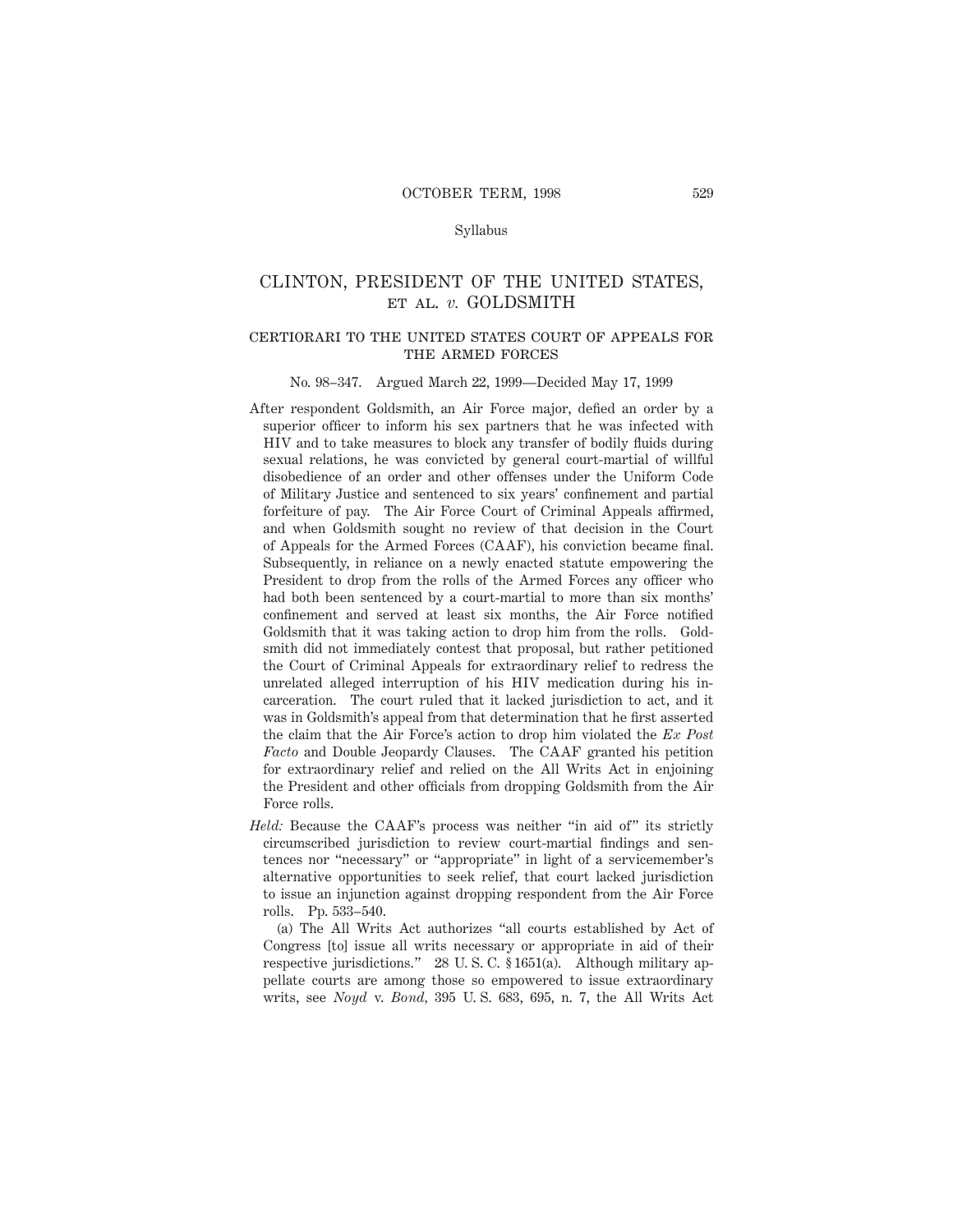# Syllabus

# CLINTON, PRESIDENT OF THE UNITED STATES, et al. *v.* GOLDSMITH

# certiorari to the united states court of appeals forTHE ARMED FORCES

#### No. 98–347. Argued March 22, 1999—Decided May 17, 1999

- After respondent Goldsmith, an Air Force major, defied an order by a superior officer to inform his sex partners that he was infected with HIV and to take measures to block any transfer of bodily fluids during sexual relations, he was convicted by general court-martial of willful disobedience of an order and other offenses under the Uniform Code of Military Justice and sentenced to six years' confinement and partial forfeiture of pay. The Air Force Court of Criminal Appeals affirmed, and when Goldsmith sought no review of that decision in the Court of Appeals for the Armed Forces (CAAF), his conviction became final. Subsequently, in reliance on a newly enacted statute empowering the President to drop from the rolls of the Armed Forces any officer who had both been sentenced by a court-martial to more than six months' confinement and served at least six months, the Air Force notified Goldsmith that it was taking action to drop him from the rolls. Goldsmith did not immediately contest that proposal, but rather petitioned the Court of Criminal Appeals for extraordinary relief to redress the unrelated alleged interruption of his HIV medication during his incarceration. The court ruled that it lacked jurisdiction to act, and it was in Goldsmith's appeal from that determination that he first asserted the claim that the Air Force's action to drop him violated the *Ex Post Facto* and Double Jeopardy Clauses. The CAAF granted his petition for extraordinary relief and relied on the All Writs Act in enjoining the President and other officials from dropping Goldsmith from the Air Force rolls.
- *Held:* Because the CAAF's process was neither "in aid of" its strictly circumscribed jurisdiction to review court-martial findings and sentences nor "necessary" or "appropriate" in light of a servicemember's alternative opportunities to seek relief, that court lacked jurisdiction to issue an injunction against dropping respondent from the Air Force rolls. Pp. 533–540.

(a) The All Writs Act authorizes "all courts established by Act of Congress [to] issue all writs necessary or appropriate in aid of their respective jurisdictions." 28 U. S. C. § 1651(a). Although military appellate courts are among those so empowered to issue extraordinary writs, see *Noyd* v. *Bond,* 395 U. S. 683, 695, n. 7, the All Writs Act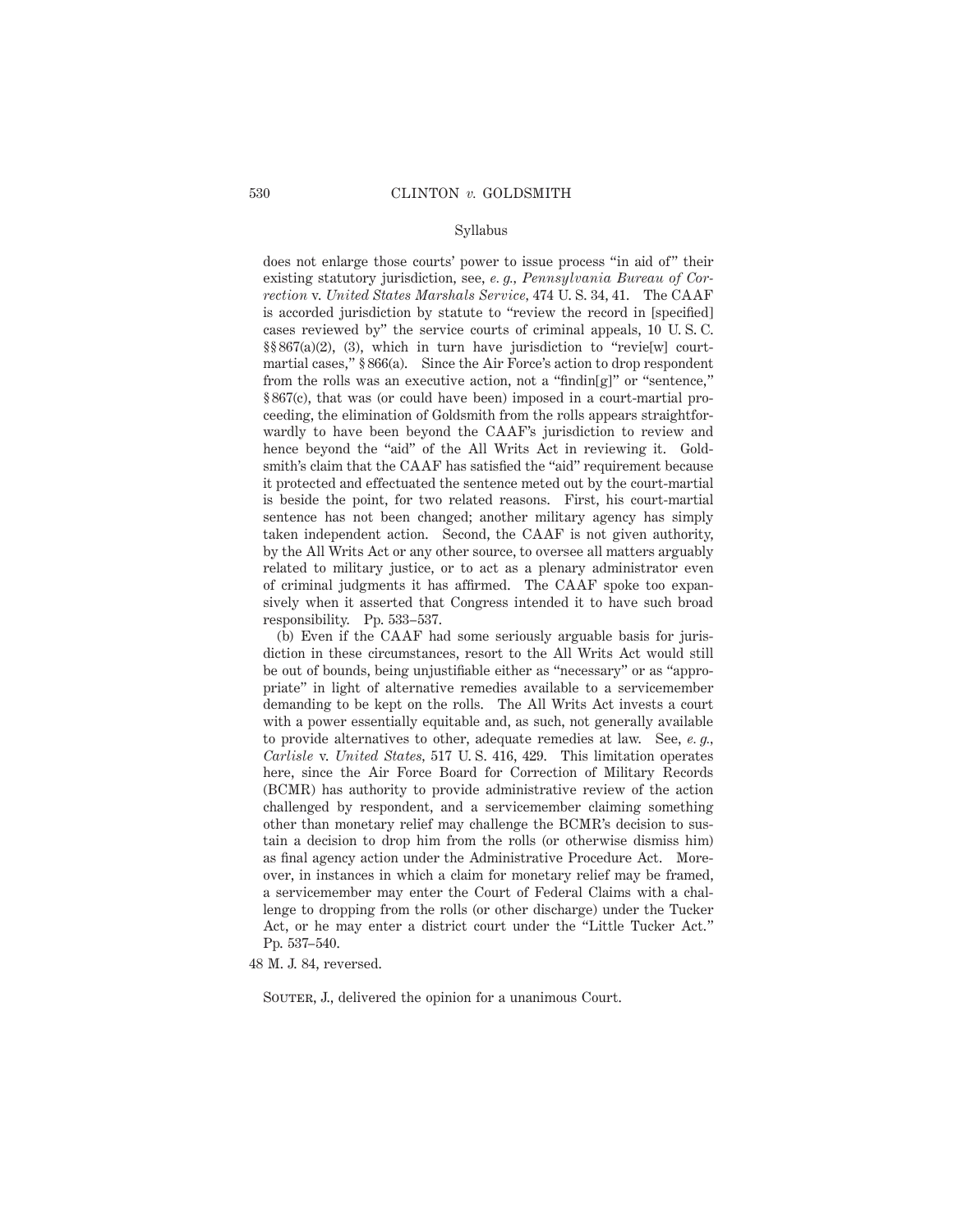## Syllabus

does not enlarge those courts' power to issue process "in aid of" their existing statutory jurisdiction, see, *e. g., Pennsylvania Bureau of Correction* v. *United States Marshals Service,* 474 U. S. 34, 41. The CAAF is accorded jurisdiction by statute to "review the record in [specified] cases reviewed by" the service courts of criminal appeals, 10 U. S. C. §§ 867(a)(2), (3), which in turn have jurisdiction to "revie[w] courtmartial cases," § 866(a). Since the Air Force's action to drop respondent from the rolls was an executive action, not a "findin[g]" or "sentence," § 867(c), that was (or could have been) imposed in a court-martial proceeding, the elimination of Goldsmith from the rolls appears straightforwardly to have been beyond the CAAF's jurisdiction to review and hence beyond the "aid" of the All Writs Act in reviewing it. Goldsmith's claim that the CAAF has satisfied the "aid" requirement because it protected and effectuated the sentence meted out by the court-martial is beside the point, for two related reasons. First, his court-martial sentence has not been changed; another military agency has simply taken independent action. Second, the CAAF is not given authority, by the All Writs Act or any other source, to oversee all matters arguably related to military justice, or to act as a plenary administrator even of criminal judgments it has affirmed. The CAAF spoke too expansively when it asserted that Congress intended it to have such broad responsibility. Pp. 533–537.

(b) Even if the CAAF had some seriously arguable basis for jurisdiction in these circumstances, resort to the All Writs Act would still be out of bounds, being unjustifiable either as "necessary" or as "appropriate" in light of alternative remedies available to a servicemember demanding to be kept on the rolls. The All Writs Act invests a court with a power essentially equitable and, as such, not generally available to provide alternatives to other, adequate remedies at law. See, *e. g., Carlisle* v. *United States,* 517 U. S. 416, 429. This limitation operates here, since the Air Force Board for Correction of Military Records (BCMR) has authority to provide administrative review of the action challenged by respondent, and a servicemember claiming something other than monetary relief may challenge the BCMR's decision to sustain a decision to drop him from the rolls (or otherwise dismiss him) as final agency action under the Administrative Procedure Act. Moreover, in instances in which a claim for monetary relief may be framed, a servicemember may enter the Court of Federal Claims with a challenge to dropping from the rolls (or other discharge) under the Tucker Act, or he may enter a district court under the "Little Tucker Act." Pp. 537–540.

48 M. J. 84, reversed.

SOUTER, J., delivered the opinion for a unanimous Court.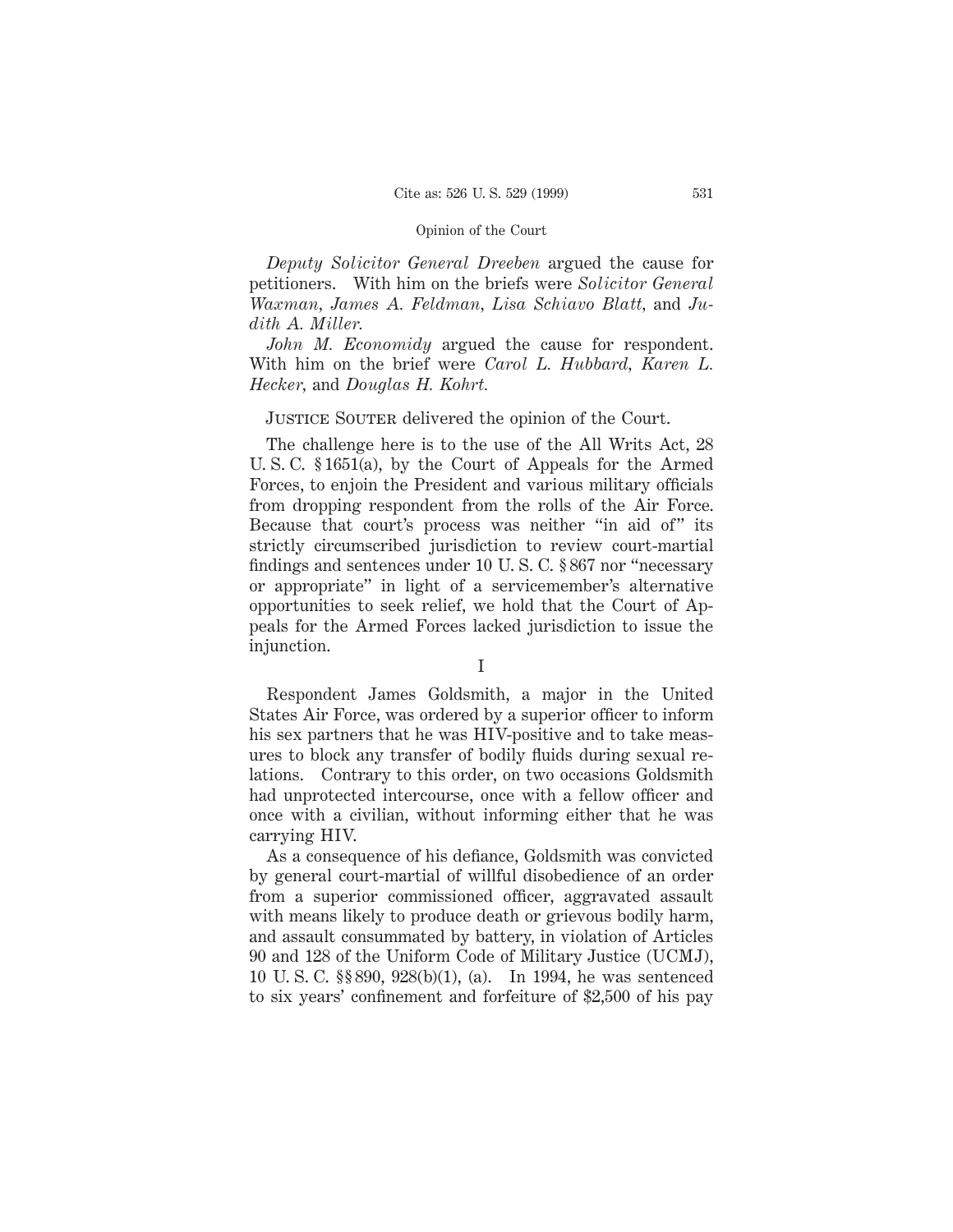*Deputy Solicitor General Dreeben* argued the cause for petitioners. With him on the briefs were *Solicitor General Waxman, James A. Feldman, Lisa Schiavo Blatt,* and *Judith A. Miller.*

*John M. Economidy* argued the cause for respondent. With him on the brief were *Carol L. Hubbard, Karen L. Hecker,* and *Douglas H. Kohrt.*

JUSTICE SOUTER delivered the opinion of the Court.

The challenge here is to the use of the All Writs Act, 28 U. S. C. § 1651(a), by the Court of Appeals for the Armed Forces, to enjoin the President and various military officials from dropping respondent from the rolls of the Air Force. Because that court's process was neither "in aid of" its strictly circumscribed jurisdiction to review court-martial findings and sentences under 10 U. S. C. § 867 nor "necessary or appropriate" in light of a servicemember's alternative opportunities to seek relief, we hold that the Court of Appeals for the Armed Forces lacked jurisdiction to issue the injunction.

Respondent James Goldsmith, a major in the United States Air Force, was ordered by a superior officer to inform his sex partners that he was HIV-positive and to take measures to block any transfer of bodily fluids during sexual relations. Contrary to this order, on two occasions Goldsmith had unprotected intercourse, once with a fellow officer and once with a civilian, without informing either that he was carrying HIV.

As a consequence of his defiance, Goldsmith was convicted by general court-martial of willful disobedience of an order from a superior commissioned officer, aggravated assault with means likely to produce death or grievous bodily harm, and assault consummated by battery, in violation of Articles 90 and 128 of the Uniform Code of Military Justice (UCMJ), 10 U. S. C. §§ 890, 928(b)(1), (a). In 1994, he was sentenced to six years' confinement and forfeiture of \$2,500 of his pay

I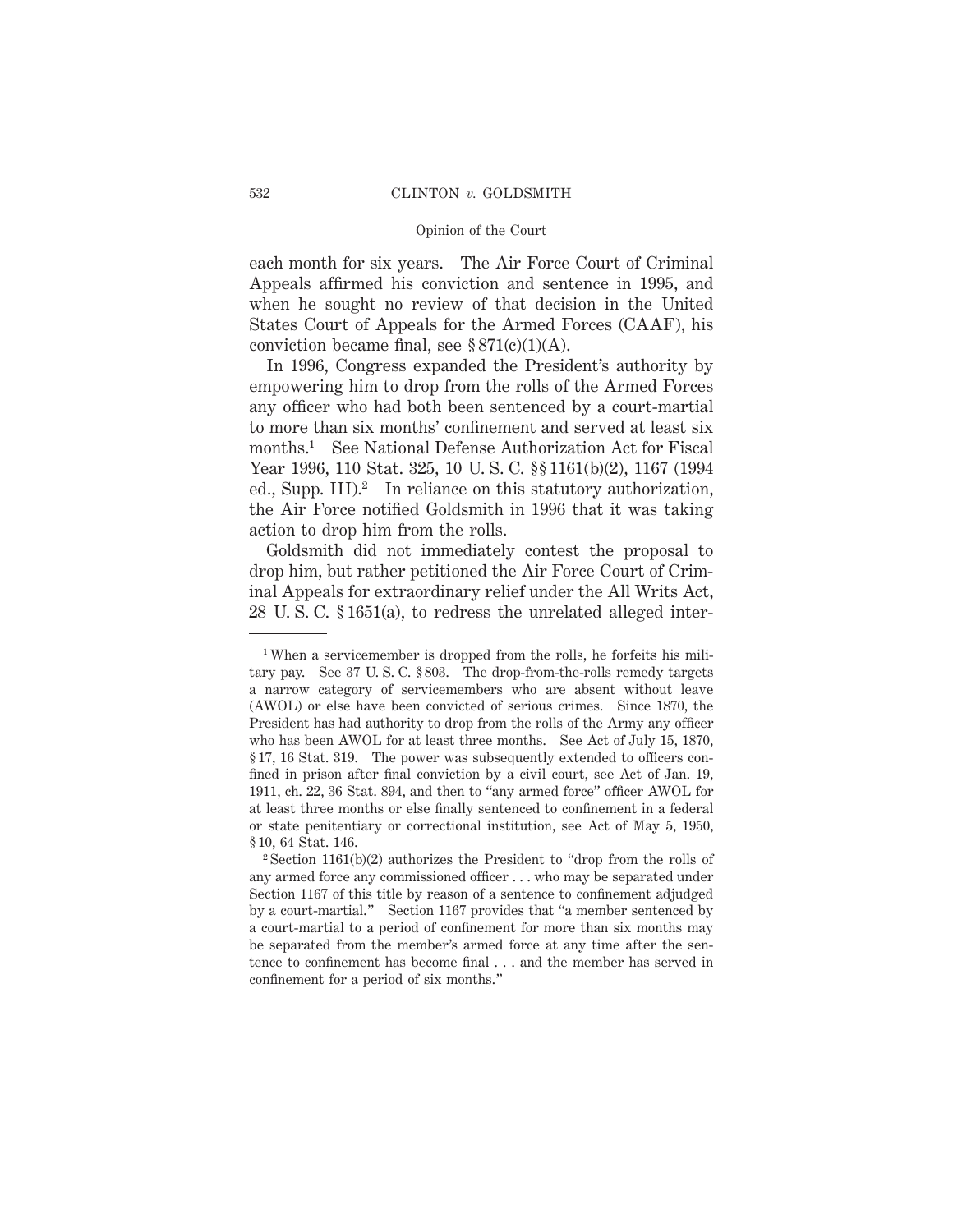each month for six years. The Air Force Court of Criminal Appeals affirmed his conviction and sentence in 1995, and when he sought no review of that decision in the United States Court of Appeals for the Armed Forces (CAAF), his conviction became final, see  $$871(c)(1)(A)$ .

In 1996, Congress expanded the President's authority by empowering him to drop from the rolls of the Armed Forces any officer who had both been sentenced by a court-martial to more than six months' confinement and served at least six months.<sup>1</sup> See National Defense Authorization Act for Fiscal Year 1996, 110 Stat. 325, 10 U. S. C. §§ 1161(b)(2), 1167 (1994 ed., Supp. III).<sup>2</sup> In reliance on this statutory authorization, the Air Force notified Goldsmith in 1996 that it was taking action to drop him from the rolls.

Goldsmith did not immediately contest the proposal to drop him, but rather petitioned the Air Force Court of Criminal Appeals for extraordinary relief under the All Writs Act, 28 U. S. C. § 1651(a), to redress the unrelated alleged inter-

<sup>1</sup> When a servicemember is dropped from the rolls, he forfeits his military pay. See 37 U. S. C. § 803. The drop-from-the-rolls remedy targets a narrow category of servicemembers who are absent without leave (AWOL) or else have been convicted of serious crimes. Since 1870, the President has had authority to drop from the rolls of the Army any officer who has been AWOL for at least three months. See Act of July 15, 1870, § 17, 16 Stat. 319. The power was subsequently extended to officers confined in prison after final conviction by a civil court, see Act of Jan. 19, 1911, ch. 22, 36 Stat. 894, and then to "any armed force" officer AWOL for at least three months or else finally sentenced to confinement in a federal or state penitentiary or correctional institution, see Act of May 5, 1950, § 10, 64 Stat. 146.

 $2$  Section 1161(b)(2) authorizes the President to "drop from the rolls of any armed force any commissioned officer . . . who may be separated under Section 1167 of this title by reason of a sentence to confinement adjudged by a court-martial." Section 1167 provides that "a member sentenced by a court-martial to a period of confinement for more than six months may be separated from the member's armed force at any time after the sentence to confinement has become final . . . and the member has served in confinement for a period of six months."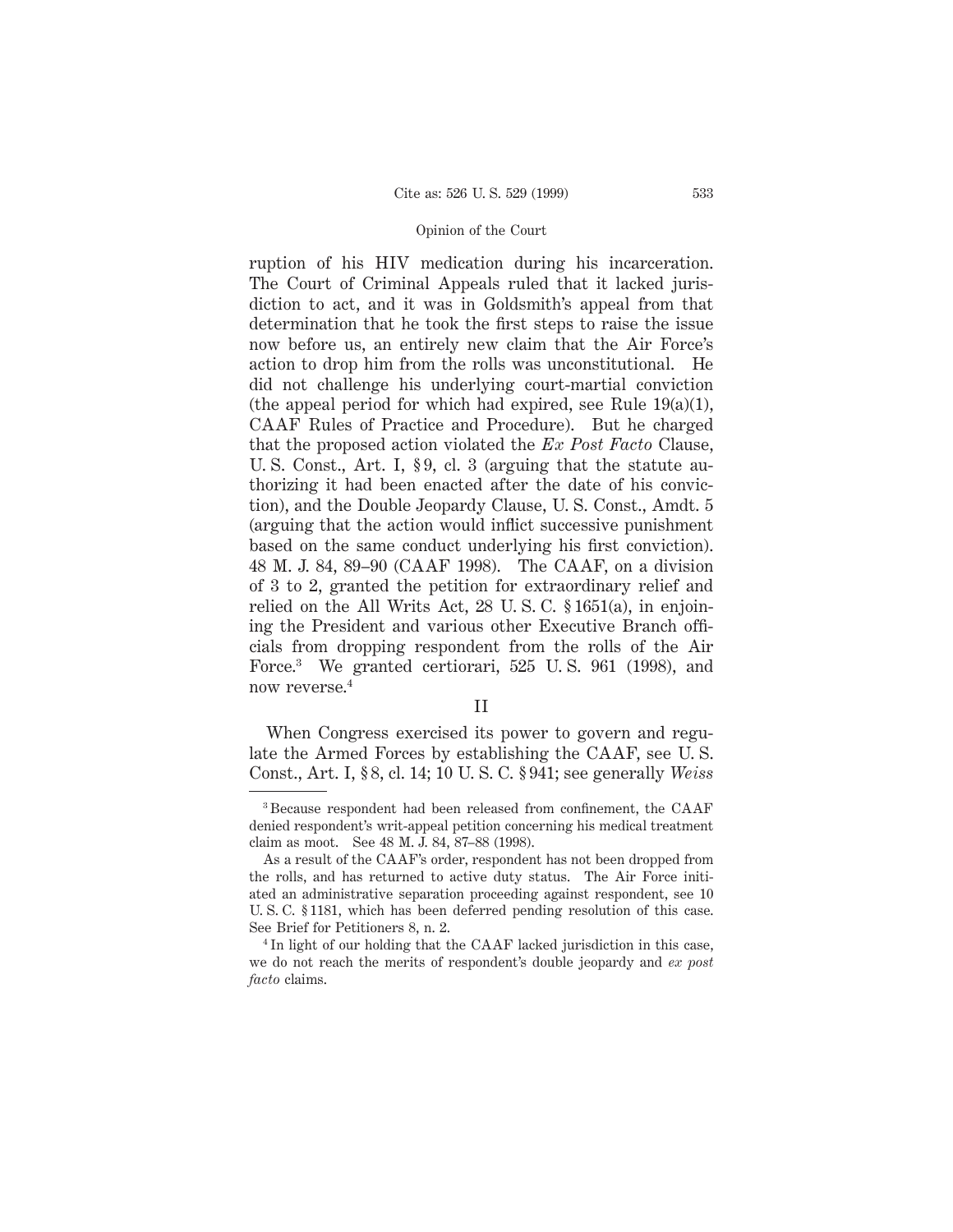ruption of his HIV medication during his incarceration. The Court of Criminal Appeals ruled that it lacked jurisdiction to act, and it was in Goldsmith's appeal from that determination that he took the first steps to raise the issue now before us, an entirely new claim that the Air Force's action to drop him from the rolls was unconstitutional. He did not challenge his underlying court-martial conviction (the appeal period for which had expired, see Rule  $19(a)(1)$ , CAAF Rules of Practice and Procedure). But he charged that the proposed action violated the *Ex Post Facto* Clause, U.S. Const., Art. I, §9, cl. 3 (arguing that the statute authorizing it had been enacted after the date of his conviction), and the Double Jeopardy Clause, U. S. Const., Amdt. 5 (arguing that the action would inflict successive punishment based on the same conduct underlying his first conviction). 48 M. J. 84, 89–90 (CAAF 1998). The CAAF, on a division of 3 to 2, granted the petition for extraordinary relief and relied on the All Writs Act, 28 U. S. C. § 1651(a), in enjoining the President and various other Executive Branch officials from dropping respondent from the rolls of the Air Force.3 We granted certiorari, 525 U. S. 961 (1998), and now reverse.4

# II

When Congress exercised its power to govern and regulate the Armed Forces by establishing the CAAF, see U. S. Const., Art. I, § 8, cl. 14; 10 U. S. C. § 941; see generally *Weiss*

<sup>3</sup> Because respondent had been released from confinement, the CAAF denied respondent's writ-appeal petition concerning his medical treatment claim as moot. See 48 M. J. 84, 87–88 (1998).

As a result of the CAAF's order, respondent has not been dropped from the rolls, and has returned to active duty status. The Air Force initiated an administrative separation proceeding against respondent, see 10 U. S. C. § 1181, which has been deferred pending resolution of this case. See Brief for Petitioners 8, n. 2.

<sup>&</sup>lt;sup>4</sup> In light of our holding that the CAAF lacked jurisdiction in this case, we do not reach the merits of respondent's double jeopardy and *ex post facto* claims.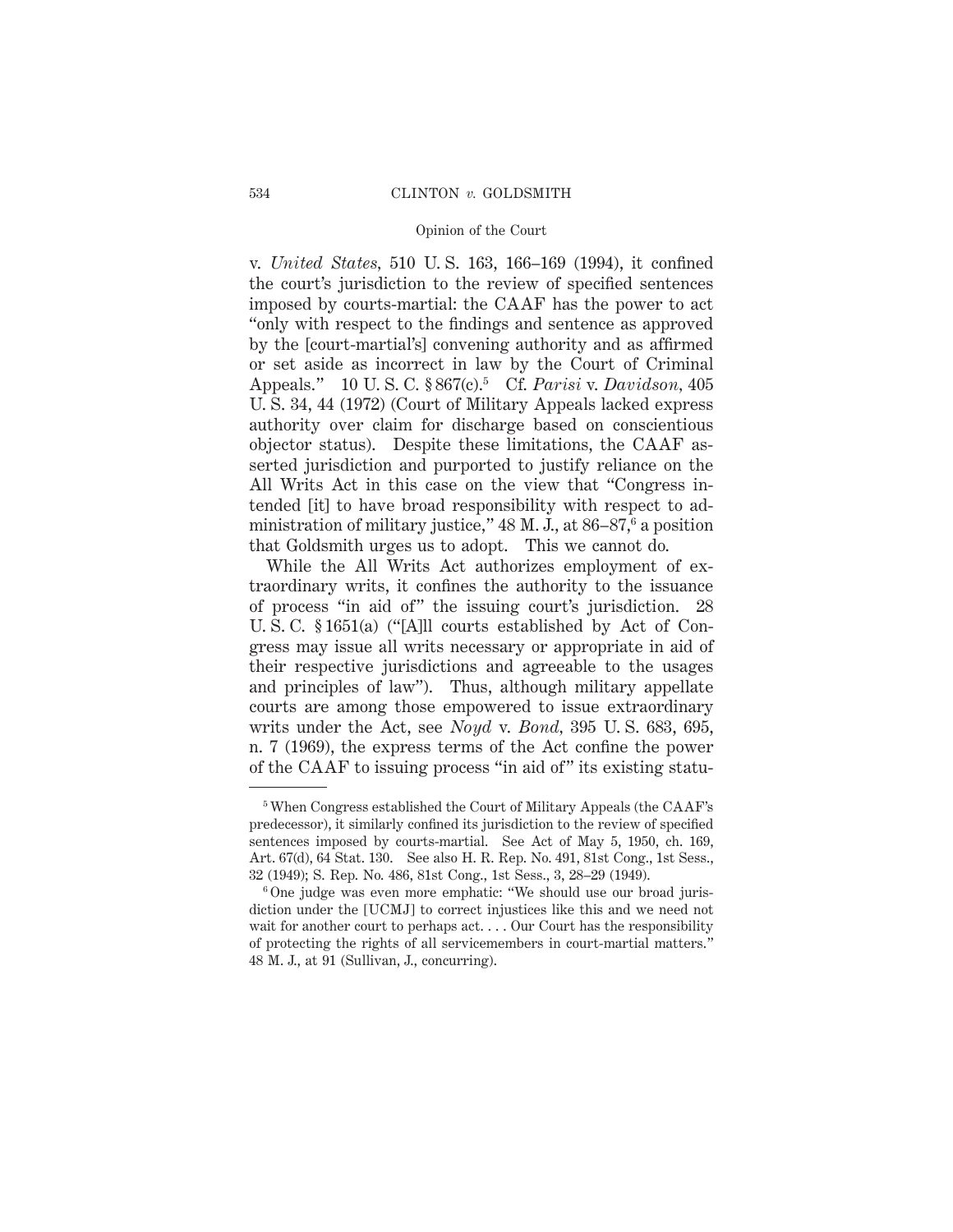v. *United States,* 510 U. S. 163, 166–169 (1994), it confined the court's jurisdiction to the review of specified sentences imposed by courts-martial: the CAAF has the power to act "only with respect to the findings and sentence as approved by the [court-martial's] convening authority and as affirmed or set aside as incorrect in law by the Court of Criminal Appeals." 10 U. S. C. § 867(c).5 Cf. *Parisi* v. *Davidson,* 405 U. S. 34, 44 (1972) (Court of Military Appeals lacked express authority over claim for discharge based on conscientious objector status). Despite these limitations, the CAAF asserted jurisdiction and purported to justify reliance on the All Writs Act in this case on the view that "Congress intended [it] to have broad responsibility with respect to administration of military justice,"  $48 \text{ M}$ . J., at  $86-87$ ,  $6 \text{ a position}$ that Goldsmith urges us to adopt. This we cannot do.

While the All Writs Act authorizes employment of extraordinary writs, it confines the authority to the issuance of process "in aid of" the issuing court's jurisdiction. 28 U. S. C. § 1651(a) ("[A]ll courts established by Act of Congress may issue all writs necessary or appropriate in aid of their respective jurisdictions and agreeable to the usages and principles of law"). Thus, although military appellate courts are among those empowered to issue extraordinary writs under the Act, see *Noyd* v. *Bond,* 395 U. S. 683, 695, n. 7 (1969), the express terms of the Act confine the power of the CAAF to issuing process "in aid of" its existing statu-

<sup>5</sup> When Congress established the Court of Military Appeals (the CAAF's predecessor), it similarly confined its jurisdiction to the review of specified sentences imposed by courts-martial. See Act of May 5, 1950, ch. 169, Art. 67(d), 64 Stat. 130. See also H. R. Rep. No. 491, 81st Cong., 1st Sess., 32 (1949); S. Rep. No. 486, 81st Cong., 1st Sess., 3, 28–29 (1949).

<sup>&</sup>lt;sup>6</sup> One judge was even more emphatic: "We should use our broad jurisdiction under the [UCMJ] to correct injustices like this and we need not wait for another court to perhaps act.... Our Court has the responsibility of protecting the rights of all servicemembers in court-martial matters." 48 M. J., at 91 (Sullivan, J., concurring).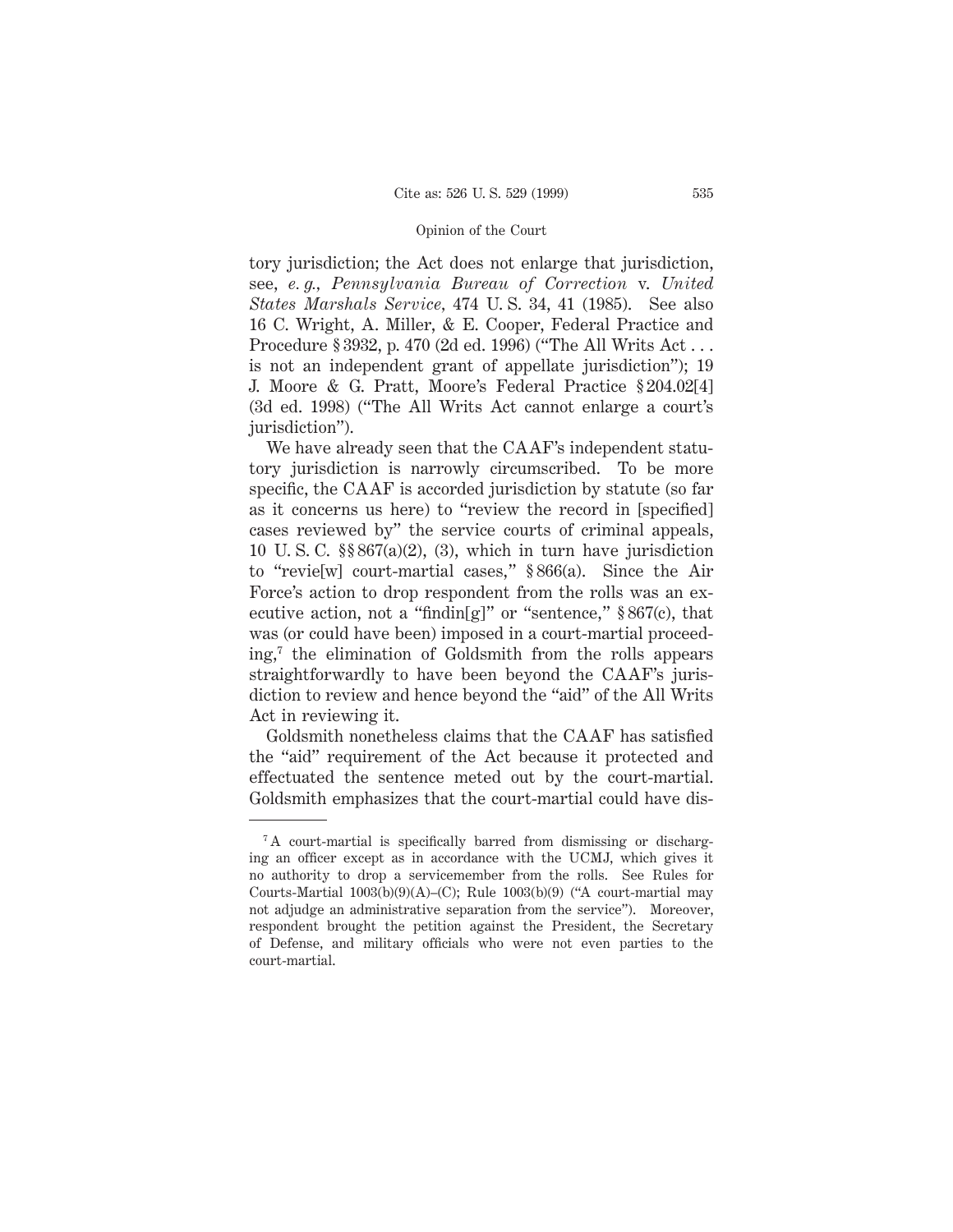tory jurisdiction; the Act does not enlarge that jurisdiction, see, *e. g., Pennsylvania Bureau of Correction* v. *United States Marshals Service,* 474 U. S. 34, 41 (1985). See also 16 C. Wright, A. Miller, & E. Cooper, Federal Practice and Procedure § 3932, p. 470 (2d ed. 1996) ("The All Writs Act . . . is not an independent grant of appellate jurisdiction"); 19 J. Moore & G. Pratt, Moore's Federal Practice § 204.02[4] (3d ed. 1998) ("The All Writs Act cannot enlarge a court's jurisdiction").

We have already seen that the CAAF's independent statutory jurisdiction is narrowly circumscribed. To be more specific, the CAAF is accorded jurisdiction by statute (so far as it concerns us here) to "review the record in [specified] cases reviewed by" the service courts of criminal appeals, 10 U. S. C. §§ 867(a)(2), (3), which in turn have jurisdiction to "revie[w] court-martial cases," § 866(a). Since the Air Force's action to drop respondent from the rolls was an executive action, not a "findin[g]" or "sentence," § 867(c), that was (or could have been) imposed in a court-martial proceeding,7 the elimination of Goldsmith from the rolls appears straightforwardly to have been beyond the CAAF's jurisdiction to review and hence beyond the "aid" of the All Writs Act in reviewing it.

Goldsmith nonetheless claims that the CAAF has satisfied the "aid" requirement of the Act because it protected and effectuated the sentence meted out by the court-martial. Goldsmith emphasizes that the court-martial could have dis-

<sup>7</sup> A court-martial is specifically barred from dismissing or discharging an officer except as in accordance with the UCMJ, which gives it no authority to drop a servicemember from the rolls. See Rules for Courts-Martial 1003(b)(9)(A)–(C); Rule 1003(b)(9) ("A court-martial may not adjudge an administrative separation from the service"). Moreover, respondent brought the petition against the President, the Secretary of Defense, and military officials who were not even parties to the court-martial.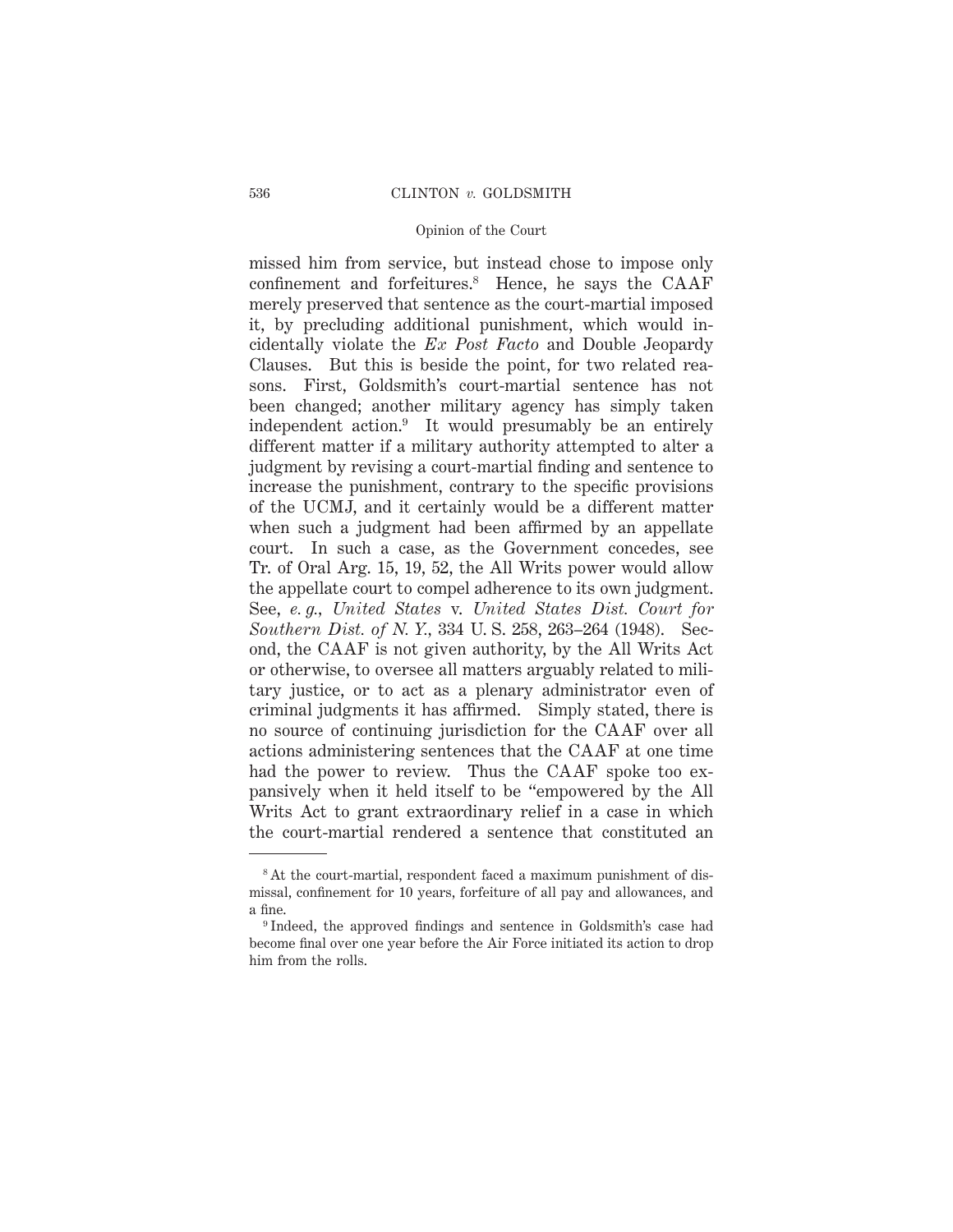missed him from service, but instead chose to impose only confinement and forfeitures.8 Hence, he says the CAAF merely preserved that sentence as the court-martial imposed it, by precluding additional punishment, which would incidentally violate the *Ex Post Facto* and Double Jeopardy Clauses. But this is beside the point, for two related reasons. First, Goldsmith's court-martial sentence has not been changed; another military agency has simply taken independent action.9 It would presumably be an entirely different matter if a military authority attempted to alter a judgment by revising a court-martial finding and sentence to increase the punishment, contrary to the specific provisions of the UCMJ, and it certainly would be a different matter when such a judgment had been affirmed by an appellate court. In such a case, as the Government concedes, see Tr. of Oral Arg. 15, 19, 52, the All Writs power would allow the appellate court to compel adherence to its own judgment. See, *e. g., United States* v. *United States Dist. Court for Southern Dist. of N. Y.,* 334 U. S. 258, 263–264 (1948). Second, the CAAF is not given authority, by the All Writs Act or otherwise, to oversee all matters arguably related to military justice, or to act as a plenary administrator even of criminal judgments it has affirmed. Simply stated, there is no source of continuing jurisdiction for the CAAF over all actions administering sentences that the CAAF at one time had the power to review. Thus the CAAF spoke too expansively when it held itself to be "empowered by the All Writs Act to grant extraordinary relief in a case in which the court-martial rendered a sentence that constituted an

<sup>&</sup>lt;sup>8</sup> At the court-martial, respondent faced a maximum punishment of dismissal, confinement for 10 years, forfeiture of all pay and allowances, and a fine.

<sup>9</sup> Indeed, the approved findings and sentence in Goldsmith's case had become final over one year before the Air Force initiated its action to drop him from the rolls.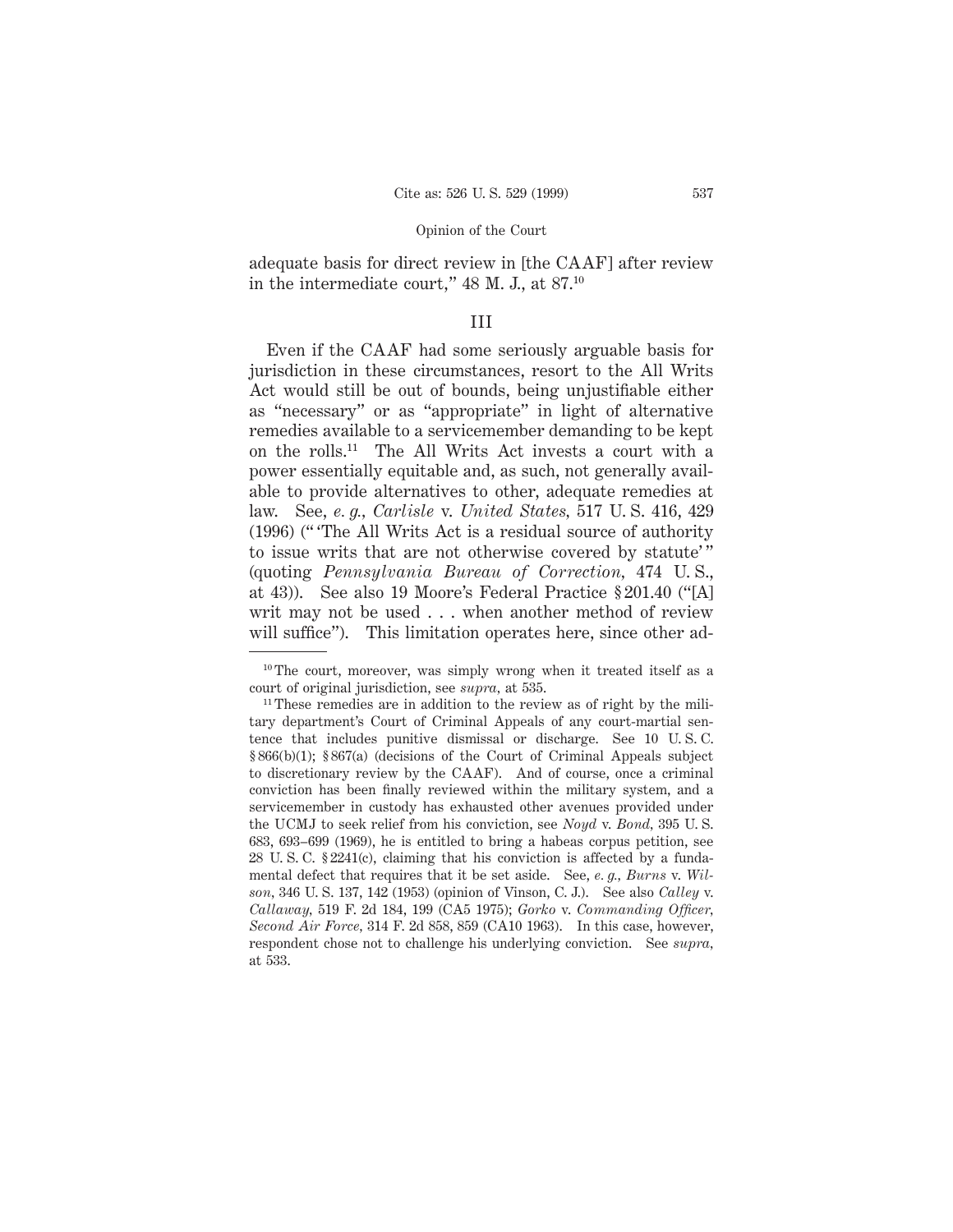adequate basis for direct review in [the CAAF] after review in the intermediate court," 48 M. J., at 87.10

# III

Even if the CAAF had some seriously arguable basis for jurisdiction in these circumstances, resort to the All Writs Act would still be out of bounds, being unjustifiable either as "necessary" or as "appropriate" in light of alternative remedies available to a servicemember demanding to be kept on the rolls.11 The All Writs Act invests a court with a power essentially equitable and, as such, not generally available to provide alternatives to other, adequate remedies at law. See, *e. g., Carlisle* v. *United States,* 517 U. S. 416, 429 (1996) (" 'The All Writs Act is a residual source of authority to issue writs that are not otherwise covered by statute' " (quoting *Pennsylvania Bureau of Correction,* 474 U. S., at 43)). See also 19 Moore's Federal Practice § 201.40 ("[A] writ may not be used . . . when another method of review will suffice"). This limitation operates here, since other ad-

<sup>&</sup>lt;sup>10</sup> The court, moreover, was simply wrong when it treated itself as a court of original jurisdiction, see *supra,* at 535.

<sup>&</sup>lt;sup>11</sup> These remedies are in addition to the review as of right by the military department's Court of Criminal Appeals of any court-martial sentence that includes punitive dismissal or discharge. See 10 U. S. C. § 866(b)(1); § 867(a) (decisions of the Court of Criminal Appeals subject to discretionary review by the CAAF). And of course, once a criminal conviction has been finally reviewed within the military system, and a servicemember in custody has exhausted other avenues provided under the UCMJ to seek relief from his conviction, see *Noyd* v. *Bond,* 395 U. S. 683, 693–699 (1969), he is entitled to bring a habeas corpus petition, see 28 U. S. C. § 2241(c), claiming that his conviction is affected by a fundamental defect that requires that it be set aside. See, *e. g., Burns* v. *Wilson,* 346 U. S. 137, 142 (1953) (opinion of Vinson, C. J.). See also *Calley* v. *Callaway,* 519 F. 2d 184, 199 (CA5 1975); *Gorko* v. *Commanding Officer, Second Air Force,* 314 F. 2d 858, 859 (CA10 1963). In this case, however, respondent chose not to challenge his underlying conviction. See *supra,* at 533.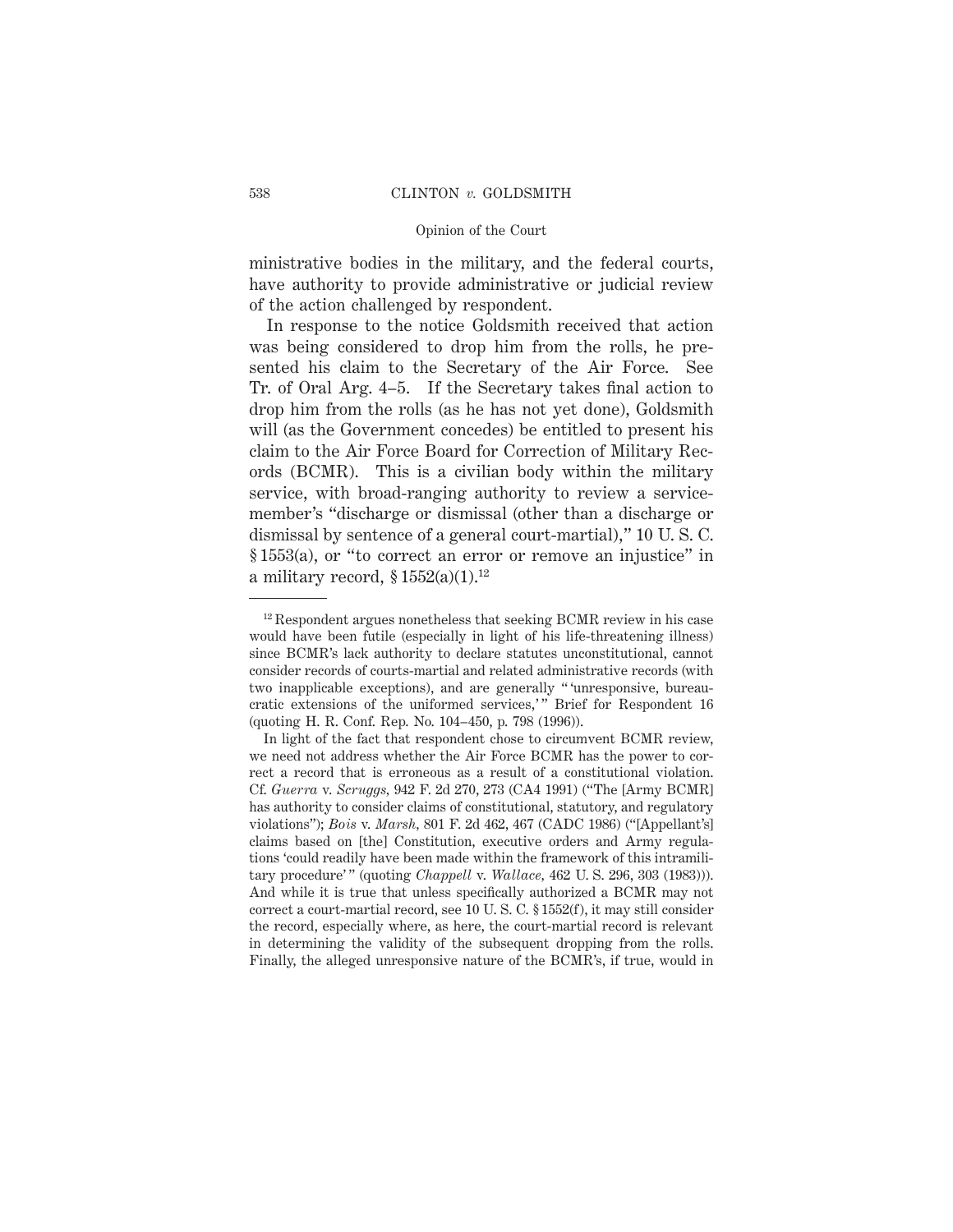ministrative bodies in the military, and the federal courts, have authority to provide administrative or judicial review of the action challenged by respondent.

In response to the notice Goldsmith received that action was being considered to drop him from the rolls, he presented his claim to the Secretary of the Air Force. See Tr. of Oral Arg. 4–5. If the Secretary takes final action to drop him from the rolls (as he has not yet done), Goldsmith will (as the Government concedes) be entitled to present his claim to the Air Force Board for Correction of Military Records (BCMR). This is a civilian body within the military service, with broad-ranging authority to review a servicemember's "discharge or dismissal (other than a discharge or dismissal by sentence of a general court-martial)," 10 U. S. C. § 1553(a), or "to correct an error or remove an injustice" in a military record,  $§ 1552(a)(1).<sup>12</sup>$ 

<sup>&</sup>lt;sup>12</sup> Respondent argues nonetheless that seeking BCMR review in his case would have been futile (especially in light of his life-threatening illness) since BCMR's lack authority to declare statutes unconstitutional, cannot consider records of courts-martial and related administrative records (with two inapplicable exceptions), and are generally " 'unresponsive, bureaucratic extensions of the uniformed services,'" Brief for Respondent 16 (quoting H. R. Conf. Rep. No. 104–450, p. 798 (1996)).

In light of the fact that respondent chose to circumvent BCMR review, we need not address whether the Air Force BCMR has the power to correct a record that is erroneous as a result of a constitutional violation. Cf. *Guerra* v. *Scruggs,* 942 F. 2d 270, 273 (CA4 1991) ("The [Army BCMR] has authority to consider claims of constitutional, statutory, and regulatory violations"); *Bois* v. *Marsh,* 801 F. 2d 462, 467 (CADC 1986) ("[Appellant's] claims based on [the] Constitution, executive orders and Army regulations 'could readily have been made within the framework of this intramilitary procedure' " (quoting *Chappell* v. *Wallace,* 462 U. S. 296, 303 (1983))). And while it is true that unless specifically authorized a BCMR may not correct a court-martial record, see 10 U. S. C. § 1552(f), it may still consider the record, especially where, as here, the court-martial record is relevant in determining the validity of the subsequent dropping from the rolls. Finally, the alleged unresponsive nature of the BCMR's, if true, would in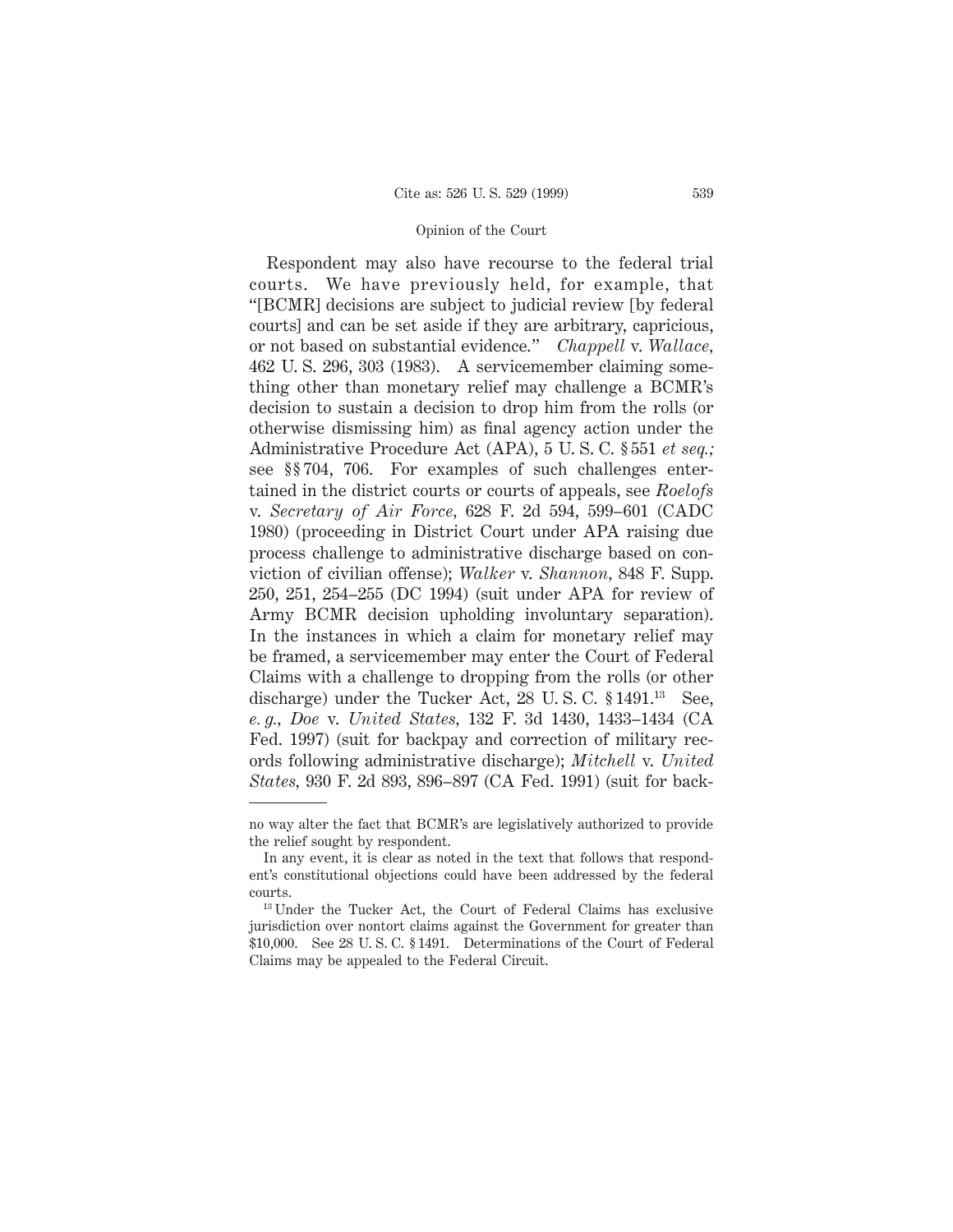Respondent may also have recourse to the federal trial courts. We have previously held, for example, that "[BCMR] decisions are subject to judicial review [by federal courts] and can be set aside if they are arbitrary, capricious, or not based on substantial evidence." *Chappell* v. *Wallace,* 462 U. S. 296, 303 (1983). A servicemember claiming something other than monetary relief may challenge a BCMR's decision to sustain a decision to drop him from the rolls (or otherwise dismissing him) as final agency action under the Administrative Procedure Act (APA), 5 U. S. C. § 551 *et seq.;* see §§ 704, 706. For examples of such challenges entertained in the district courts or courts of appeals, see *Roelofs* v. *Secretary of Air Force,* 628 F. 2d 594, 599–601 (CADC 1980) (proceeding in District Court under APA raising due process challenge to administrative discharge based on conviction of civilian offense); *Walker* v. *Shannon,* 848 F. Supp. 250, 251, 254–255 (DC 1994) (suit under APA for review of Army BCMR decision upholding involuntary separation). In the instances in which a claim for monetary relief may be framed, a servicemember may enter the Court of Federal Claims with a challenge to dropping from the rolls (or other discharge) under the Tucker Act, 28 U.S.C. § 1491.<sup>13</sup> See, *e. g., Doe* v. *United States,* 132 F. 3d 1430, 1433–1434 (CA Fed. 1997) (suit for backpay and correction of military records following administrative discharge); *Mitchell* v. *United States,* 930 F. 2d 893, 896–897 (CA Fed. 1991) (suit for back-

no way alter the fact that BCMR's are legislatively authorized to provide the relief sought by respondent.

In any event, it is clear as noted in the text that follows that respondent's constitutional objections could have been addressed by the federal courts.

<sup>13</sup> Under the Tucker Act, the Court of Federal Claims has exclusive jurisdiction over nontort claims against the Government for greater than \$10,000. See 28 U. S. C. § 1491. Determinations of the Court of Federal Claims may be appealed to the Federal Circuit.